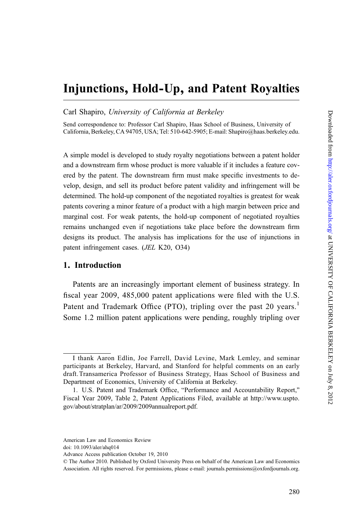# Injunctions, Hold-Up, and Patent Royalties

#### Carl Shapiro, University of California at Berkeley

Send correspondence to: Professor Carl Shapiro, Haas School of Business, University of California, Berkeley, CA 94705, USA; Tel: 510-642-5905; E-mail: Shapiro@haas.berkeley.edu.

A simple model is developed to study royalty negotiations between a patent holder and a downstream firm whose product is more valuable if it includes a feature covered by the patent. The downstream firm must make specific investments to develop, design, and sell its product before patent validity and infringement will be determined. The hold-up component of the negotiated royalties is greatest for weak patents covering a minor feature of a product with a high margin between price and marginal cost. For weak patents, the hold-up component of negotiated royalties remains unchanged even if negotiations take place before the downstream firm designs its product. The analysis has implications for the use of injunctions in patent infringement cases. (JEL K20, O34)

## 1. Introduction

Patents are an increasingly important element of business strategy. In fiscal year 2009, 485,000 patent applications were filed with the U.S. Patent and Trademark Office (PTO), tripling over the past 20 years.<sup>1</sup> Some 1.2 million patent applications were pending, roughly tripling over

I thank Aaron Edlin, Joe Farrell, David Levine, Mark Lemley, and seminar participants at Berkeley, Harvard, and Stanford for helpful comments on an early draft.Transamerica Professor of Business Strategy, Haas School of Business and Department of Economics, University of California at Berkeley.

<sup>1.</sup> U.S. Patent and Trademark Office, "Performance and Accountability Report," Fiscal Year 2009, Table 2, Patent Applications Filed, available at http://www.uspto. gov/about/stratplan/ar/2009/2009annualreport.pdf.

American Law and Economics Review

doi: 10.1093/aler/ahq014

Advance Access publication October 19, 2010

<sup>©</sup> The Author 2010. Published by Oxford University Press on behalf of the American Law and Economics Association. All rights reserved. For permissions, please e-mail: journals.permissions@oxfordjournals.org.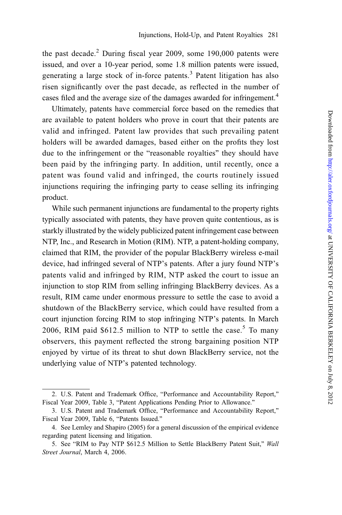the past decade.<sup>2</sup> During fiscal year 2009, some 190,000 patents were issued, and over a 10-year period, some 1.8 million patents were issued, generating a large stock of in-force patents.<sup>3</sup> Patent litigation has also risen significantly over the past decade, as reflected in the number of cases filed and the average size of the damages awarded for infringement.<sup>4</sup>

Ultimately, patents have commercial force based on the remedies that are available to patent holders who prove in court that their patents are valid and infringed. Patent law provides that such prevailing patent holders will be awarded damages, based either on the profits they lost due to the infringement or the "reasonable royalties" they should have been paid by the infringing party. In addition, until recently, once a patent was found valid and infringed, the courts routinely issued injunctions requiring the infringing party to cease selling its infringing product.

While such permanent injunctions are fundamental to the property rights typically associated with patents, they have proven quite contentious, as is starkly illustrated by the widely publicized patent infringement case between NTP, Inc., and Research in Motion (RIM). NTP, a patent-holding company, claimed that RIM, the provider of the popular BlackBerry wireless e-mail device, had infringed several of NTP's patents. After a jury found NTP's patents valid and infringed by RIM, NTP asked the court to issue an injunction to stop RIM from selling infringing BlackBerry devices. As a result, RIM came under enormous pressure to settle the case to avoid a shutdown of the BlackBerry service, which could have resulted from a court injunction forcing RIM to stop infringing NTP's patents. In March 2006, RIM paid  $$612.5$  million to NTP to settle the case.<sup>5</sup> To many observers, this payment reflected the strong bargaining position NTP enjoyed by virtue of its threat to shut down BlackBerry service, not the underlying value of NTP's patented technology.

<sup>2.</sup> U.S. Patent and Trademark Office, "Performance and Accountability Report," Fiscal Year 2009, Table 3, "Patent Applications Pending Prior to Allowance."

<sup>3.</sup> U.S. Patent and Trademark Office, "Performance and Accountability Report," Fiscal Year 2009, Table 6, "Patents Issued."

<sup>4.</sup> See Lemley and Shapiro (2005) for a general discussion of the empirical evidence regarding patent licensing and litigation.

<sup>5.</sup> See "RIM to Pay NTP \$612.5 Million to Settle BlackBerry Patent Suit," Wall Street Journal, March 4, 2006.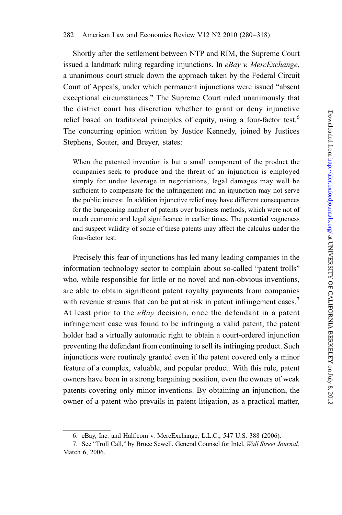Shortly after the settlement between NTP and RIM, the Supreme Court issued a landmark ruling regarding injunctions. In eBay v. MercExchange, a unanimous court struck down the approach taken by the Federal Circuit Court of Appeals, under which permanent injunctions were issued "absent exceptional circumstances." The Supreme Court ruled unanimously that the district court has discretion whether to grant or deny injunctive relief based on traditional principles of equity, using a four-factor test.<sup>6</sup> The concurring opinion written by Justice Kennedy, joined by Justices Stephens, Souter, and Breyer, states:

When the patented invention is but a small component of the product the companies seek to produce and the threat of an injunction is employed simply for undue leverage in negotiations, legal damages may well be sufficient to compensate for the infringement and an injunction may not serve the public interest. In addition injunctive relief may have different consequences for the burgeoning number of patents over business methods, which were not of much economic and legal significance in earlier times. The potential vagueness and suspect validity of some of these patents may affect the calculus under the four-factor test.

Precisely this fear of injunctions has led many leading companies in the information technology sector to complain about so-called "patent trolls" who, while responsible for little or no novel and non-obvious inventions, are able to obtain significant patent royalty payments from companies with revenue streams that can be put at risk in patent infringement cases.<sup>7</sup> At least prior to the  $eBay$  decision, once the defendant in a patent infringement case was found to be infringing a valid patent, the patent holder had a virtually automatic right to obtain a court-ordered injunction preventing the defendant from continuing to sell its infringing product. Such injunctions were routinely granted even if the patent covered only a minor feature of a complex, valuable, and popular product. With this rule, patent owners have been in a strong bargaining position, even the owners of weak patents covering only minor inventions. By obtaining an injunction, the owner of a patent who prevails in patent litigation, as a practical matter,

<sup>6.</sup> eBay, Inc. and Half.com v. MercExchange, L.L.C., 547 U.S. 388 (2006).

<sup>7.</sup> See "Troll Call," by Bruce Sewell, General Counsel for Intel, Wall Street Journal, March 6, 2006.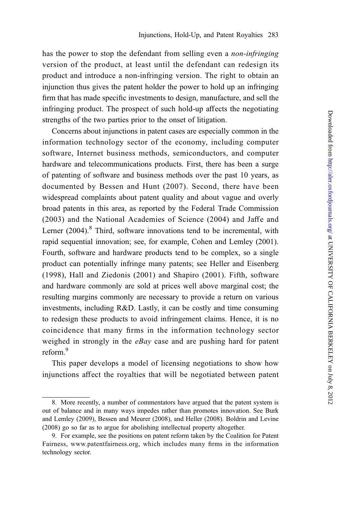has the power to stop the defendant from selling even a non-infringing version of the product, at least until the defendant can redesign its product and introduce a non-infringing version. The right to obtain an injunction thus gives the patent holder the power to hold up an infringing firm that has made specific investments to design, manufacture, and sell the infringing product. The prospect of such hold-up affects the negotiating strengths of the two parties prior to the onset of litigation.

Concerns about injunctions in patent cases are especially common in the information technology sector of the economy, including computer software, Internet business methods, semiconductors, and computer hardware and telecommunications products. First, there has been a surge of patenting of software and business methods over the past 10 years, as documented by Bessen and Hunt (2007). Second, there have been widespread complaints about patent quality and about vague and overly broad patents in this area, as reported by the Federal Trade Commission (2003) and the National Academies of Science (2004) and Jaffe and Lerner  $(2004)$ .<sup>8</sup> Third, software innovations tend to be incremental, with rapid sequential innovation; see, for example, Cohen and Lemley (2001). Fourth, software and hardware products tend to be complex, so a single product can potentially infringe many patents; see Heller and Eisenberg (1998), Hall and Ziedonis (2001) and Shapiro (2001). Fifth, software and hardware commonly are sold at prices well above marginal cost; the resulting margins commonly are necessary to provide a return on various investments, including R&D. Lastly, it can be costly and time consuming to redesign these products to avoid infringement claims. Hence, it is no coincidence that many firms in the information technology sector weighed in strongly in the eBay case and are pushing hard for patent reform.<sup>9</sup>

This paper develops a model of licensing negotiations to show how injunctions affect the royalties that will be negotiated between patent

<sup>8.</sup> More recently, a number of commentators have argued that the patent system is out of balance and in many ways impedes rather than promotes innovation. See Burk and Lemley (2009), Bessen and Meurer (2008), and Heller (2008). Boldrin and Levine (2008) go so far as to argue for abolishing intellectual property altogether.

<sup>9.</sup> For example, see the positions on patent reform taken by the Coalition for Patent Fairness, www.patentfairness.org, which includes many firms in the information technology sector.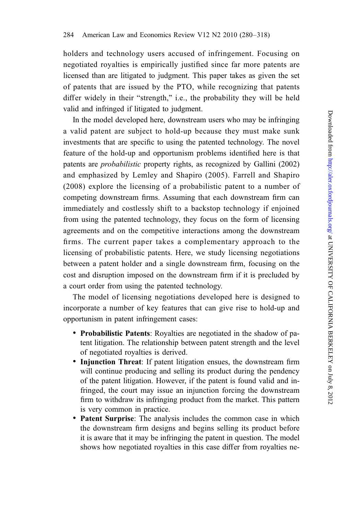holders and technology users accused of infringement. Focusing on negotiated royalties is empirically justified since far more patents are licensed than are litigated to judgment. This paper takes as given the set of patents that are issued by the PTO, while recognizing that patents differ widely in their "strength," i.e., the probability they will be held valid and infringed if litigated to judgment.

In the model developed here, downstream users who may be infringing a valid patent are subject to hold-up because they must make sunk investments that are specific to using the patented technology. The novel feature of the hold-up and opportunism problems identified here is that patents are probabilistic property rights, as recognized by Gallini (2002) and emphasized by Lemley and Shapiro (2005). Farrell and Shapiro (2008) explore the licensing of a probabilistic patent to a number of competing downstream firms. Assuming that each downstream firm can immediately and costlessly shift to a backstop technology if enjoined from using the patented technology, they focus on the form of licensing agreements and on the competitive interactions among the downstream firms. The current paper takes a complementary approach to the licensing of probabilistic patents. Here, we study licensing negotiations between a patent holder and a single downstream firm, focusing on the cost and disruption imposed on the downstream firm if it is precluded by a court order from using the patented technology.

The model of licensing negotiations developed here is designed to incorporate a number of key features that can give rise to hold-up and opportunism in patent infringement cases:

- Probabilistic Patents: Royalties are negotiated in the shadow of patent litigation. The relationship between patent strength and the level of negotiated royalties is derived.
- Injunction Threat: If patent litigation ensues, the downstream firm will continue producing and selling its product during the pendency of the patent litigation. However, if the patent is found valid and infringed, the court may issue an injunction forcing the downstream firm to withdraw its infringing product from the market. This pattern is very common in practice.
- Patent Surprise: The analysis includes the common case in which the downstream firm designs and begins selling its product before it is aware that it may be infringing the patent in question. The model shows how negotiated royalties in this case differ from royalties ne-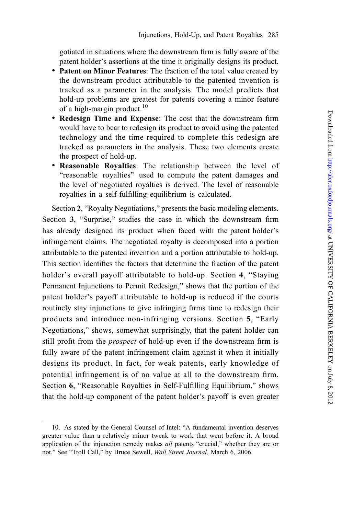gotiated in situations where the downstream firm is fully aware of the patent holder's assertions at the time it originally designs its product.

- Patent on Minor Features: The fraction of the total value created by the downstream product attributable to the patented invention is tracked as a parameter in the analysis. The model predicts that hold-up problems are greatest for patents covering a minor feature of a high-margin product. $10$
- Redesign Time and Expense: The cost that the downstream firm would have to bear to redesign its product to avoid using the patented technology and the time required to complete this redesign are tracked as parameters in the analysis. These two elements create the prospect of hold-up.
- Reasonable Royalties: The relationship between the level of "reasonable royalties" used to compute the patent damages and the level of negotiated royalties is derived. The level of reasonable royalties in a self-fulfilling equilibrium is calculated.

Section 2, "Royalty Negotiations," presents the basic modeling elements. Section 3, "Surprise," studies the case in which the downstream firm has already designed its product when faced with the patent holder's infringement claims. The negotiated royalty is decomposed into a portion attributable to the patented invention and a portion attributable to hold-up. This section identifies the factors that determine the fraction of the patent holder's overall payoff attributable to hold-up. Section 4, "Staying Permanent Injunctions to Permit Redesign," shows that the portion of the patent holder's payoff attributable to hold-up is reduced if the courts routinely stay injunctions to give infringing firms time to redesign their products and introduce non-infringing versions. Section 5, "Early Negotiations," shows, somewhat surprisingly, that the patent holder can still profit from the prospect of hold-up even if the downstream firm is fully aware of the patent infringement claim against it when it initially designs its product. In fact, for weak patents, early knowledge of potential infringement is of no value at all to the downstream firm. Section 6, "Reasonable Royalties in Self-Fulfilling Equilibrium," shows that the hold-up component of the patent holder's payoff is even greater

<sup>10.</sup> As stated by the General Counsel of Intel: "A fundamental invention deserves greater value than a relatively minor tweak to work that went before it. A broad application of the injunction remedy makes *all* patents "crucial," whether they are or not." See "Troll Call," by Bruce Sewell, Wall Street Journal, March 6, 2006.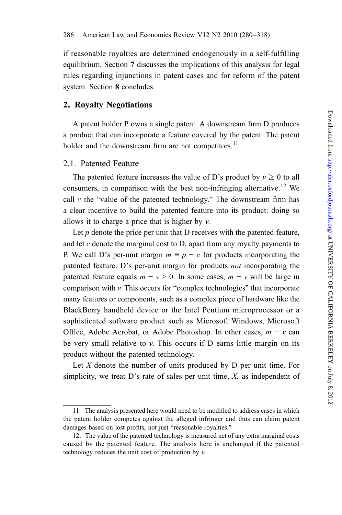if reasonable royalties are determined endogenously in a self-fulfilling equilibrium. Section 7 discusses the implications of this analysis for legal rules regarding injunctions in patent cases and for reform of the patent system. Section 8 concludes.

#### 2. Royalty Negotiations

A patent holder P owns a single patent. A downstream firm D produces a product that can incorporate a feature covered by the patent. The patent holder and the downstream firm are not competitors.<sup>11</sup>

## 2.1. Patented Feature

The patented feature increases the value of D's product by  $v \ge 0$  to all consumers, in comparison with the best non-infringing alternative.<sup>12</sup> We call  $\nu$  the "value of the patented technology." The downstream firm has a clear incentive to build the patented feature into its product: doing so allows it to charge a price that is higher by  $\nu$ .

Let  $p$  denote the price per unit that  $D$  receives with the patented feature, and let  $c$  denote the marginal cost to  $D$ , apart from any royalty payments to P. We call D's per-unit margin  $m \equiv p - c$  for products incorporating the patented feature. D's per-unit margin for products not incorporating the patented feature equals  $m - v > 0$ . In some cases,  $m - v$  will be large in comparison with v. This occurs for "complex technologies" that incorporate many features or components, such as a complex piece of hardware like the BlackBerry handheld device or the Intel Pentium microprocessor or a sophisticated software product such as Microsoft Windows, Microsoft Office, Adobe Acrobat, or Adobe Photoshop. In other cases,  $m - v$  can be very small relative to  $v$ . This occurs if D earns little margin on its product without the patented technology.

Let  $X$  denote the number of units produced by  $D$  per unit time. For simplicity, we treat D's rate of sales per unit time,  $X$ , as independent of

<sup>11.</sup> The analysis presented here would need to be modified to address cases in which the patent holder competes against the alleged infringer and thus can claim patent damages based on lost profits, not just "reasonable royalties."

<sup>12.</sup> The value of the patented technology is measured net of any extra marginal costs caused by the patented feature. The analysis here is unchanged if the patented technology reduces the unit cost of production by v.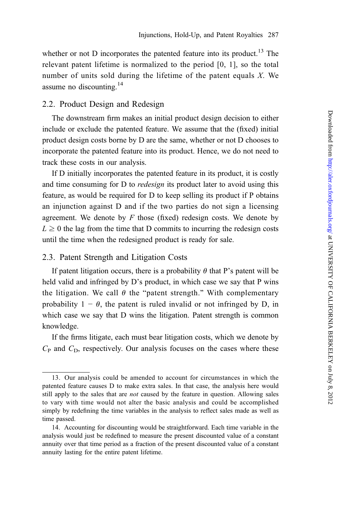whether or not D incorporates the patented feature into its product.<sup>13</sup> The relevant patent lifetime is normalized to the period [0, 1], so the total number of units sold during the lifetime of the patent equals  $X$ . We assume no discounting. $14$ 

#### 2.2. Product Design and Redesign

The downstream firm makes an initial product design decision to either include or exclude the patented feature. We assume that the (fixed) initial product design costs borne by D are the same, whether or not D chooses to incorporate the patented feature into its product. Hence, we do not need to track these costs in our analysis.

If D initially incorporates the patented feature in its product, it is costly and time consuming for D to *redesign* its product later to avoid using this feature, as would be required for D to keep selling its product if P obtains an injunction against D and if the two parties do not sign a licensing agreement. We denote by  $F$  those (fixed) redesign costs. We denote by  $L \geq 0$  the lag from the time that D commits to incurring the redesign costs until the time when the redesigned product is ready for sale.

#### 2.3. Patent Strength and Litigation Costs

If patent litigation occurs, there is a probability  $\theta$  that P's patent will be held valid and infringed by D's product, in which case we say that P wins the litigation. We call  $\theta$  the "patent strength." With complementary probability  $1 - \theta$ , the patent is ruled invalid or not infringed by D, in which case we say that D wins the litigation. Patent strength is common knowledge.

If the firms litigate, each must bear litigation costs, which we denote by  $C_{\rm P}$  and  $C_{\rm D}$ , respectively. Our analysis focuses on the cases where these

<sup>13.</sup> Our analysis could be amended to account for circumstances in which the patented feature causes D to make extra sales. In that case, the analysis here would still apply to the sales that are *not* caused by the feature in question. Allowing sales to vary with time would not alter the basic analysis and could be accomplished simply by redefining the time variables in the analysis to reflect sales made as well as time passed.

<sup>14.</sup> Accounting for discounting would be straightforward. Each time variable in the analysis would just be redefined to measure the present discounted value of a constant annuity over that time period as a fraction of the present discounted value of a constant annuity lasting for the entire patent lifetime.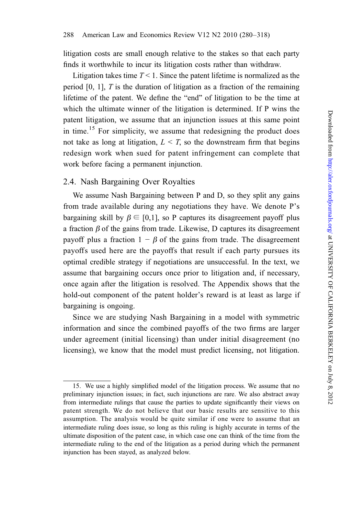litigation costs are small enough relative to the stakes so that each party finds it worthwhile to incur its litigation costs rather than withdraw.

Litigation takes time  $T < 1$ . Since the patent lifetime is normalized as the period  $[0, 1]$ , T is the duration of litigation as a fraction of the remaining lifetime of the patent. We define the "end" of litigation to be the time at which the ultimate winner of the litigation is determined. If P wins the patent litigation, we assume that an injunction issues at this same point in time.<sup>15</sup> For simplicity, we assume that redesigning the product does not take as long at litigation,  $L \leq T$ , so the downstream firm that begins redesign work when sued for patent infringement can complete that work before facing a permanent injunction.

## 2.4. Nash Bargaining Over Royalties

We assume Nash Bargaining between P and D, so they split any gains from trade available during any negotiations they have. We denote P's bargaining skill by  $\beta \in [0,1]$ , so P captures its disagreement payoff plus a fraction  $\beta$  of the gains from trade. Likewise, D captures its disagreement payoff plus a fraction  $1 - \beta$  of the gains from trade. The disagreement payoffs used here are the payoffs that result if each party pursues its optimal credible strategy if negotiations are unsuccessful. In the text, we assume that bargaining occurs once prior to litigation and, if necessary, once again after the litigation is resolved. The Appendix shows that the hold-out component of the patent holder's reward is at least as large if bargaining is ongoing.

Since we are studying Nash Bargaining in a model with symmetric information and since the combined payoffs of the two firms are larger under agreement (initial licensing) than under initial disagreement (no licensing), we know that the model must predict licensing, not litigation.

<sup>15.</sup> We use a highly simplified model of the litigation process. We assume that no preliminary injunction issues; in fact, such injunctions are rare. We also abstract away from intermediate rulings that cause the parties to update significantly their views on patent strength. We do not believe that our basic results are sensitive to this assumption. The analysis would be quite similar if one were to assume that an intermediate ruling does issue, so long as this ruling is highly accurate in terms of the ultimate disposition of the patent case, in which case one can think of the time from the intermediate ruling to the end of the litigation as a period during which the permanent injunction has been stayed, as analyzed below.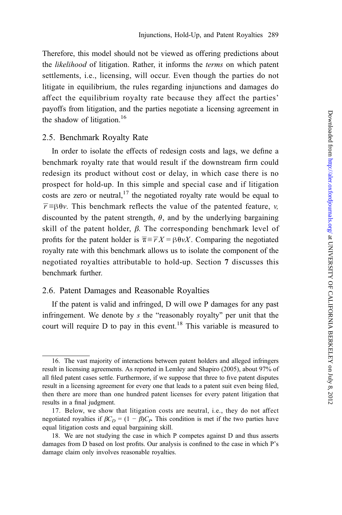Therefore, this model should not be viewed as offering predictions about the likelihood of litigation. Rather, it informs the terms on which patent settlements, i.e., licensing, will occur. Even though the parties do not litigate in equilibrium, the rules regarding injunctions and damages do affect the equilibrium royalty rate because they affect the parties' payoffs from litigation, and the parties negotiate a licensing agreement in the shadow of litigation.<sup>16</sup>

#### 2.5. Benchmark Royalty Rate

In order to isolate the effects of redesign costs and lags, we define a benchmark royalty rate that would result if the downstream firm could redesign its product without cost or delay, in which case there is no prospect for hold-up. In this simple and special case and if litigation costs are zero or neutral,  $17$  the negotiated royalty rate would be equal to  $\overline{r} = \beta \theta v$ . This benchmark reflects the value of the patented feature, v, discounted by the patent strength,  $\theta$ , and by the underlying bargaining skill of the patent holder,  $\beta$ . The corresponding benchmark level of profits for the patent holder is  $\overline{\pi} = \overline{r}X = \beta \theta vX$ . Comparing the negotiated royalty rate with this benchmark allows us to isolate the component of the negotiated royalties attributable to hold-up. Section 7 discusses this benchmark further.

## 2.6. Patent Damages and Reasonable Royalties

If the patent is valid and infringed, D will owe P damages for any past infringement. We denote by s the "reasonably royalty" per unit that the court will require D to pay in this event.<sup>18</sup> This variable is measured to

<sup>16.</sup> The vast majority of interactions between patent holders and alleged infringers result in licensing agreements. As reported in Lemley and Shapiro (2005), about 97% of all filed patent cases settle. Furthermore, if we suppose that three to five patent disputes result in a licensing agreement for every one that leads to a patent suit even being filed, then there are more than one hundred patent licenses for every patent litigation that results in a final judgment.

<sup>17.</sup> Below, we show that litigation costs are neutral, i.e., they do not affect negotiated royalties if  $\beta C_D = (1 - \beta)C_P$ . This condition is met if the two parties have equal litigation costs and equal bargaining skill.

<sup>18.</sup> We are not studying the case in which P competes against D and thus asserts damages from D based on lost profits. Our analysis is confined to the case in which P's damage claim only involves reasonable royalties.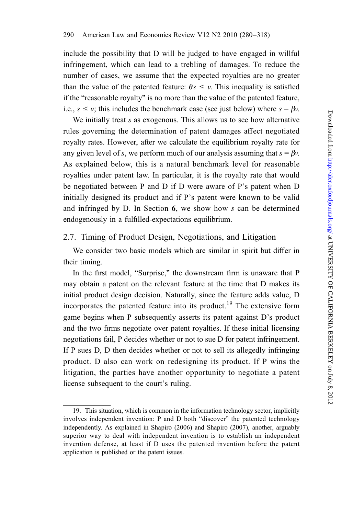include the possibility that D will be judged to have engaged in willful infringement, which can lead to a trebling of damages. To reduce the number of cases, we assume that the expected royalties are no greater than the value of the patented feature:  $\theta$ s  $\leq$  v. This inequality is satisfied if the "reasonable royalty" is no more than the value of the patented feature, i.e.,  $s \le v$ ; this includes the benchmark case (see just below) where  $s = \beta v$ .

We initially treat s as exogenous. This allows us to see how alternative rules governing the determination of patent damages affect negotiated royalty rates. However, after we calculate the equilibrium royalty rate for any given level of s, we perform much of our analysis assuming that  $s = \beta v$ . As explained below, this is a natural benchmark level for reasonable royalties under patent law. In particular, it is the royalty rate that would be negotiated between P and D if D were aware of P's patent when D initially designed its product and if P's patent were known to be valid and infringed by D. In Section 6, we show how s can be determined endogenously in a fulfilled-expectations equilibrium.

## 2.7. Timing of Product Design, Negotiations, and Litigation

We consider two basic models which are similar in spirit but differ in their timing.

In the first model, "Surprise," the downstream firm is unaware that P may obtain a patent on the relevant feature at the time that D makes its initial product design decision. Naturally, since the feature adds value, D incorporates the patented feature into its product.<sup>19</sup> The extensive form game begins when P subsequently asserts its patent against D's product and the two firms negotiate over patent royalties. If these initial licensing negotiations fail, P decides whether or not to sue D for patent infringement. If P sues D, D then decides whether or not to sell its allegedly infringing product. D also can work on redesigning its product. If P wins the litigation, the parties have another opportunity to negotiate a patent license subsequent to the court's ruling.

<sup>19.</sup> This situation, which is common in the information technology sector, implicitly involves independent invention: P and D both "discover" the patented technology independently. As explained in Shapiro (2006) and Shapiro (2007), another, arguably superior way to deal with independent invention is to establish an independent invention defense, at least if D uses the patented invention before the patent application is published or the patent issues.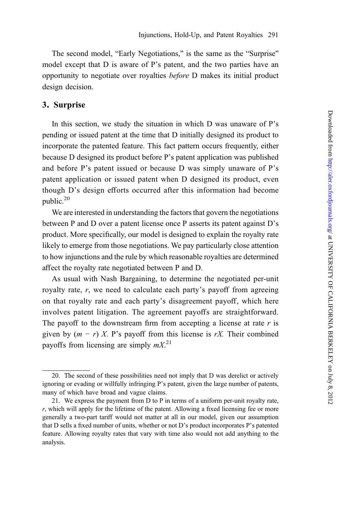The second model, "Early Negotiations," is the same as the "Surprise" model except that D is aware of P's patent, and the two parties have an opportunity to negotiate over royalties before D makes its initial product design decision.

#### 3. Surprise

In this section, we study the situation in which D was unaware of P's pending or issued patent at the time that D initially designed its product to incorporate the patented feature. This fact pattern occurs frequently, either because D designed its product before P's patent application was published and before P's patent issued or because D was simply unaware of P's patent application or issued patent when D designed its product, even though D's design efforts occurred after this information had become public.<sup>20</sup>

We are interested in understanding the factors that govern the negotiations between P and D over a patent license once P asserts its patent against D's product. More specifically, our model is designed to explain the royalty rate likely to emerge from those negotiations. We pay particularly close attention to how injunctions and the rule by which reasonable royalties are determined affect the royalty rate negotiated between P and D.

As usual with Nash Bargaining, to determine the negotiated per-unit royalty rate, r, we need to calculate each party's payoff from agreeing on that royalty rate and each party's disagreement payoff, which here involves patent litigation. The agreement payoffs are straightforward. The payoff to the downstream firm from accepting a license at rate  $r$  is given by  $(m - r)$  X. P's payoff from this license is rX. Their combined payoffs from licensing are simply  $mX$ <sup>21</sup>

<sup>20.</sup> The second of these possibilities need not imply that D was derelict or actively ignoring or evading or willfully infringing P's patent, given the large number of patents, many of which have broad and vague claims.

<sup>21.</sup> We express the payment from D to P in terms of a uniform per-unit royalty rate,  $r$ , which will apply for the lifetime of the patent. Allowing a fixed licensing fee or more generally a two-part tariff would not matter at all in our model, given our assumption that D sells a fixed number of units, whether or not D's product incorporates P's patented feature. Allowing royalty rates that vary with time also would not add anything to the analysis.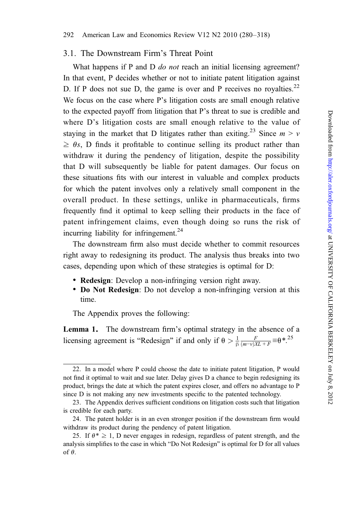## 3.1. The Downstream Firm's Threat Point

What happens if P and D do not reach an initial licensing agreement? In that event, P decides whether or not to initiate patent litigation against D. If P does not sue D, the game is over and P receives no royalties. $22$ We focus on the case where P's litigation costs are small enough relative to the expected payoff from litigation that P's threat to sue is credible and where D's litigation costs are small enough relative to the value of staying in the market that D litigates rather than exiting.<sup>23</sup> Since  $m > v$  $\geq \theta s$ , D finds it profitable to continue selling its product rather than withdraw it during the pendency of litigation, despite the possibility that D will subsequently be liable for patent damages. Our focus on these situations fits with our interest in valuable and complex products for which the patent involves only a relatively small component in the overall product. In these settings, unlike in pharmaceuticals, firms frequently find it optimal to keep selling their products in the face of patent infringement claims, even though doing so runs the risk of incurring liability for infringement.<sup>24</sup>

The downstream firm also must decide whether to commit resources right away to redesigning its product. The analysis thus breaks into two cases, depending upon which of these strategies is optimal for D:

- Redesign: Develop a non-infringing version right away.
- Do Not Redesign: Do not develop a non-infringing version at this time.

The Appendix proves the following:

Lemma 1. The downstream firm's optimal strategy in the absence of a licensing agreement is "Redesign" if and only if  $\theta > \frac{1}{\beta} \frac{F}{(m-v)XL + F} \equiv \theta^{*}$ .<sup>25</sup>

<sup>22.</sup> In a model where P could choose the date to initiate patent litigation, P would not find it optimal to wait and sue later. Delay gives D a chance to begin redesigning its product, brings the date at which the patent expires closer, and offers no advantage to P since D is not making any new investments specific to the patented technology.

<sup>23.</sup> The Appendix derives sufficient conditions on litigation costs such that litigation is credible for each party.

<sup>24.</sup> The patent holder is in an even stronger position if the downstream firm would withdraw its product during the pendency of patent litigation.

<sup>25.</sup> If  $\theta^* \geq 1$ , D never engages in redesign, regardless of patent strength, and the analysis simplifies to the case in which "Do Not Redesign" is optimal for D for all values of θ.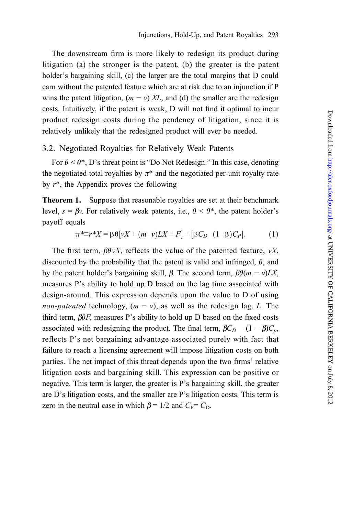The downstream firm is more likely to redesign its product during litigation (a) the stronger is the patent, (b) the greater is the patent holder's bargaining skill, (c) the larger are the total margins that D could earn without the patented feature which are at risk due to an injunction if P wins the patent litigation,  $(m - v) X L$ , and (d) the smaller are the redesign costs. Intuitively, if the patent is weak, D will not find it optimal to incur product redesign costs during the pendency of litigation, since it is relatively unlikely that the redesigned product will ever be needed.

## 3.2. Negotiated Royalties for Relatively Weak Patents

For  $\theta \leq \theta^*$ , D's threat point is "Do Not Redesign." In this case, denoting the negotiated total royalties by  $\pi^*$  and the negotiated per-unit royalty rate by  $r^*$ , the Appendix proves the following

Theorem 1. Suppose that reasonable royalties are set at their benchmark level,  $s = \beta v$ . For relatively weak patents, i.e.,  $\theta \leq \theta^*$ , the patent holder's payoff equals

$$
\pi^* \equiv r^* X = \beta \theta \left[ \nu X + (m - \nu) L X + F \right] + \left[ \beta C_D - (1 - \beta) C_P \right]. \tag{1}
$$

The first term,  $\beta \theta \nu X$ , reflects the value of the patented feature,  $\nu X$ , discounted by the probability that the patent is valid and infringed,  $\theta$ , and by the patent holder's bargaining skill, β. The second term,  $βθ(m - v) LX$ , measures P's ability to hold up D based on the lag time associated with design-around. This expression depends upon the value to D of using *non-patented* technology,  $(m - v)$ , as well as the redesign lag, L. The third term,  $\beta \theta F$ , measures P's ability to hold up D based on the fixed costs associated with redesigning the product. The final term,  $\beta C_D - (1 - \beta)C_p$ , reflects P's net bargaining advantage associated purely with fact that failure to reach a licensing agreement will impose litigation costs on both parties. The net impact of this threat depends upon the two firms' relative litigation costs and bargaining skill. This expression can be positive or negative. This term is larger, the greater is P's bargaining skill, the greater are D's litigation costs, and the smaller are P's litigation costs. This term is zero in the neutral case in which  $\beta = 1/2$  and  $C_P = C_D$ .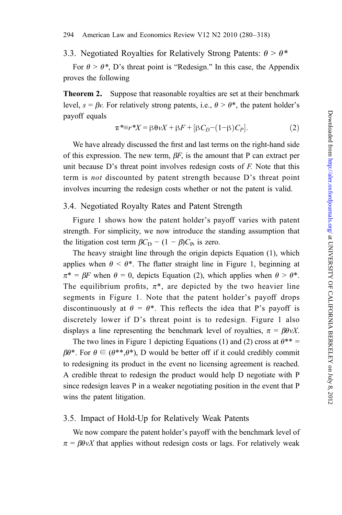#### 3.3. Negotiated Royalties for Relatively Strong Patents:  $\theta > \theta^*$

For  $\theta > \theta^*$ , D's threat point is "Redesign." In this case, the Appendix proves the following

Theorem 2. Suppose that reasonable royalties are set at their benchmark level,  $s = \beta v$ . For relatively strong patents, i.e.,  $\theta > \theta^*$ , the patent holder's payoff equals

$$
\pi^* \equiv r^* X = \beta \theta v X + \beta F + [\beta C_D - (1 - \beta) C_P]. \tag{2}
$$

We have already discussed the first and last terms on the right-hand side of this expression. The new term,  $\beta F$ , is the amount that P can extract per unit because D's threat point involves redesign costs of F. Note that this term is not discounted by patent strength because D's threat point involves incurring the redesign costs whether or not the patent is valid.

#### 3.4. Negotiated Royalty Rates and Patent Strength

Figure 1 shows how the patent holder's payoff varies with patent strength. For simplicity, we now introduce the standing assumption that the litigation cost term  $\beta C_{\text{D}} - (1 - \beta)C_{\text{P}}$ , is zero.

The heavy straight line through the origin depicts Equation (1), which applies when  $\theta \leq \theta^*$ . The flatter straight line in Figure 1, beginning at  $\pi^* = \beta F$  when  $\theta = 0$ , depicts Equation (2), which applies when  $\theta > \theta^*$ . The equilibrium profits,  $\pi^*$ , are depicted by the two heavier line segments in Figure 1. Note that the patent holder's payoff drops discontinuously at  $\theta = \theta^*$ . This reflects the idea that P's payoff is discretely lower if D's threat point is to redesign. Figure 1 also displays a line representing the benchmark level of royalties,  $\pi = \beta \theta v X$ .

The two lines in Figure 1 depicting Equations (1) and (2) cross at  $\theta^{**}$  =  $βθ^*$ . For  $θ ∈ (θ^{**}, θ^*)$ , D would be better off if it could credibly commit to redesigning its product in the event no licensing agreement is reached. A credible threat to redesign the product would help D negotiate with P since redesign leaves P in a weaker negotiating position in the event that P wins the patent litigation.

#### 3.5. Impact of Hold-Up for Relatively Weak Patents

We now compare the patent holder's payoff with the benchmark level of  $\pi = \beta \theta \nu X$  that applies without redesign costs or lags. For relatively weak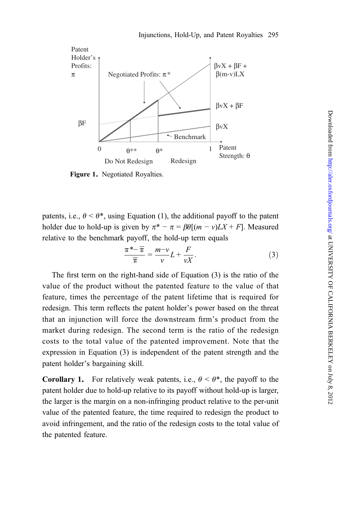

Figure 1. Negotiated Royalties.

patents, i.e.,  $\theta \le \theta^*$ , using Equation (1), the additional payoff to the patent holder due to hold-up is given by  $\pi^* - \pi = \beta \theta [(m - v)LX + F]$ . Measured relative to the benchmark payoff, the hold-up term equals

$$
\frac{\pi^* - \overline{\pi}}{\overline{\pi}} = \frac{m - \nu}{\nu} L + \frac{F}{\nu X}.
$$
 (3)

The first term on the right-hand side of Equation (3) is the ratio of the value of the product without the patented feature to the value of that feature, times the percentage of the patent lifetime that is required for redesign. This term reflects the patent holder's power based on the threat that an injunction will force the downstream firm's product from the market during redesign. The second term is the ratio of the redesign costs to the total value of the patented improvement. Note that the expression in Equation (3) is independent of the patent strength and the patent holder's bargaining skill.

**Corollary 1.** For relatively weak patents, i.e.,  $\theta \leq \theta^*$ , the payoff to the patent holder due to hold-up relative to its payoff without hold-up is larger, the larger is the margin on a non-infringing product relative to the per-unit value of the patented feature, the time required to redesign the product to avoid infringement, and the ratio of the redesign costs to the total value of the patented feature.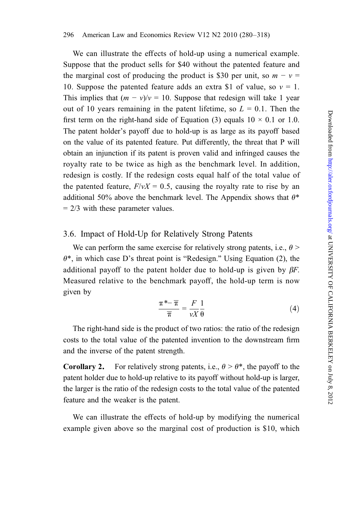We can illustrate the effects of hold-up using a numerical example. Suppose that the product sells for \$40 without the patented feature and the marginal cost of producing the product is \$30 per unit, so  $m - v =$ 10. Suppose the patented feature adds an extra \$1 of value, so  $v = 1$ . This implies that  $(m - v)/v = 10$ . Suppose that redesign will take 1 year out of 10 years remaining in the patent lifetime, so  $L = 0.1$ . Then the first term on the right-hand side of Equation (3) equals  $10 \times 0.1$  or 1.0. The patent holder's payoff due to hold-up is as large as its payoff based on the value of its patented feature. Put differently, the threat that P will obtain an injunction if its patent is proven valid and infringed causes the royalty rate to be twice as high as the benchmark level. In addition, redesign is costly. If the redesign costs equal half of the total value of the patented feature,  $F/vX = 0.5$ , causing the royalty rate to rise by an additional 50% above the benchmark level. The Appendix shows that  $\theta^*$  $= 2/3$  with these parameter values.

#### 3.6. Impact of Hold-Up for Relatively Strong Patents

We can perform the same exercise for relatively strong patents, i.e.,  $\theta$  >  $\theta^*$ , in which case D's threat point is "Redesign." Using Equation (2), the additional payoff to the patent holder due to hold-up is given by  $\beta F$ . Measured relative to the benchmark payoff, the hold-up term is now given by

$$
\frac{\pi^* - \overline{\pi}}{\overline{\pi}} = \frac{F}{\nu X} \frac{1}{\theta} \tag{4}
$$

The right-hand side is the product of two ratios: the ratio of the redesign costs to the total value of the patented invention to the downstream firm and the inverse of the patent strength.

**Corollary 2.** For relatively strong patents, i.e.,  $\theta > \theta^*$ , the payoff to the patent holder due to hold-up relative to its payoff without hold-up is larger, the larger is the ratio of the redesign costs to the total value of the patented feature and the weaker is the patent.

We can illustrate the effects of hold-up by modifying the numerical example given above so the marginal cost of production is \$10, which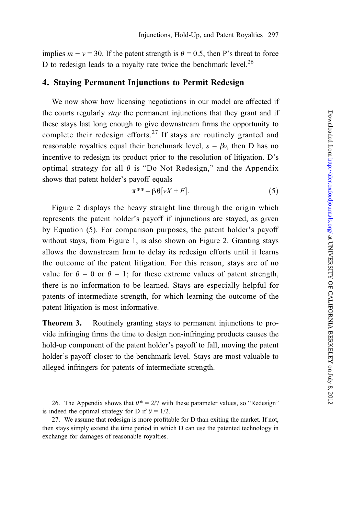implies  $m - v = 30$ . If the patent strength is  $\theta = 0.5$ , then P's threat to force D to redesign leads to a royalty rate twice the benchmark level.<sup>26</sup>

#### 4. Staying Permanent Injunctions to Permit Redesign

We now show how licensing negotiations in our model are affected if the courts regularly *stay* the permanent injunctions that they grant and if these stays last long enough to give downstream firms the opportunity to complete their redesign efforts.<sup>27</sup> If stays are routinely granted and reasonable royalties equal their benchmark level,  $s = \beta v$ , then D has no incentive to redesign its product prior to the resolution of litigation. D's optimal strategy for all  $\theta$  is "Do Not Redesign," and the Appendix shows that patent holder's payoff equals

$$
\pi^{**} = \beta \theta \left[ \nu X + F \right]. \tag{5}
$$

Figure 2 displays the heavy straight line through the origin which represents the patent holder's payoff if injunctions are stayed, as given by Equation (5). For comparison purposes, the patent holder's payoff without stays, from Figure 1, is also shown on Figure 2. Granting stays allows the downstream firm to delay its redesign efforts until it learns the outcome of the patent litigation. For this reason, stays are of no value for  $\theta = 0$  or  $\theta = 1$ ; for these extreme values of patent strength, there is no information to be learned. Stays are especially helpful for patents of intermediate strength, for which learning the outcome of the patent litigation is most informative.

Theorem 3. Routinely granting stays to permanent injunctions to provide infringing firms the time to design non-infringing products causes the hold-up component of the patent holder's payoff to fall, moving the patent holder's payoff closer to the benchmark level. Stays are most valuable to alleged infringers for patents of intermediate strength.

<sup>26.</sup> The Appendix shows that  $\theta^* = 2/7$  with these parameter values, so "Redesign" is indeed the optimal strategy for D if  $\theta = 1/2$ .

<sup>27.</sup> We assume that redesign is more profitable for D than exiting the market. If not, then stays simply extend the time period in which D can use the patented technology in exchange for damages of reasonable royalties.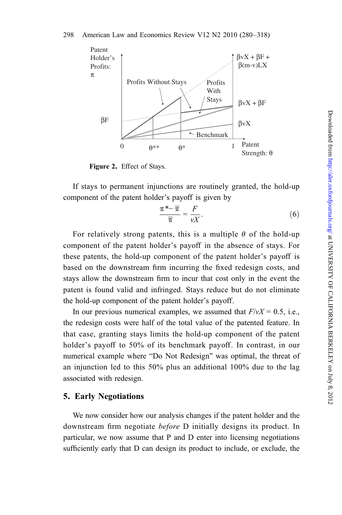

Figure 2. Effect of Stays.

If stays to permanent injunctions are routinely granted, the hold-up component of the patent holder's payoff is given by

$$
\frac{\pi^* - \overline{\pi}}{\overline{\pi}} = \frac{F}{\nu X}.
$$
\n(6)

For relatively strong patents, this is a multiple  $\theta$  of the hold-up component of the patent holder's payoff in the absence of stays. For these patents, the hold-up component of the patent holder's payoff is based on the downstream firm incurring the fixed redesign costs, and stays allow the downstream firm to incur that cost only in the event the patent is found valid and infringed. Stays reduce but do not eliminate the hold-up component of the patent holder's payoff.

In our previous numerical examples, we assumed that  $F/vX = 0.5$ , i.e., the redesign costs were half of the total value of the patented feature. In that case, granting stays limits the hold-up component of the patent holder's payoff to 50% of its benchmark payoff. In contrast, in our numerical example where "Do Not Redesign" was optimal, the threat of an injunction led to this 50% plus an additional 100% due to the lag associated with redesign.

## 5. Early Negotiations

We now consider how our analysis changes if the patent holder and the downstream firm negotiate before D initially designs its product. In particular, we now assume that P and D enter into licensing negotiations sufficiently early that D can design its product to include, or exclude, the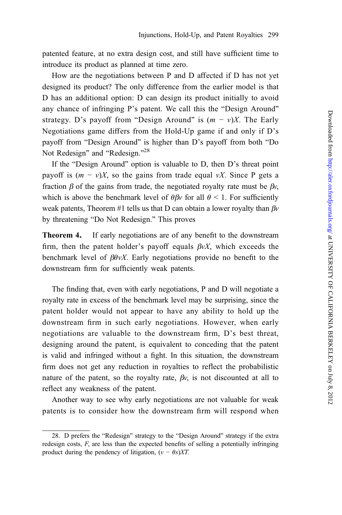patented feature, at no extra design cost, and still have sufficient time to introduce its product as planned at time zero.

How are the negotiations between P and D affected if D has not yet designed its product? The only difference from the earlier model is that D has an additional option: D can design its product initially to avoid any chance of infringing P's patent. We call this the "Design Around" strategy. D's payoff from "Design Around" is  $(m - v)X$ . The Early Negotiations game differs from the Hold-Up game if and only if D's payoff from "Design Around" is higher than D's payoff from both "Do Not Redesign" and "Redesign."<sup>28</sup>

If the "Design Around" option is valuable to D, then D's threat point payoff is  $(m - v)X$ , so the gains from trade equal vX. Since P gets a fraction β of the gains from trade, the negotiated royalty rate must be βv, which is above the benchmark level of  $\theta \beta v$  for all  $\theta \leq 1$ . For sufficiently weak patents, Theorem #1 tells us that D can obtain a lower royalty than  $\beta v$ by threatening "Do Not Redesign." This proves

**Theorem 4.** If early negotiations are of any benefit to the downstream firm, then the patent holder's payoff equals  $\beta vX$ , which exceeds the benchmark level of  $\beta\theta vX$ . Early negotiations provide no benefit to the downstream firm for sufficiently weak patents.

The finding that, even with early negotiations, P and D will negotiate a royalty rate in excess of the benchmark level may be surprising, since the patent holder would not appear to have any ability to hold up the downstream firm in such early negotiations. However, when early negotiations are valuable to the downstream firm, D's best threat, designing around the patent, is equivalent to conceding that the patent is valid and infringed without a fight. In this situation, the downstream firm does not get any reduction in royalties to reflect the probabilistic nature of the patent, so the royalty rate,  $\beta v$ , is not discounted at all to reflect any weakness of the patent.

Another way to see why early negotiations are not valuable for weak patents is to consider how the downstream firm will respond when

<sup>28.</sup> D prefers the "Redesign" strategy to the "Design Around" strategy if the extra redesign costs, F, are less than the expected benefits of selling a potentially infringing product during the pendency of litigation,  $(v - \theta s)XT$ .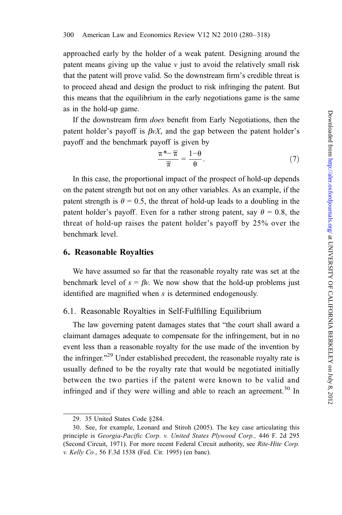approached early by the holder of a weak patent. Designing around the patent means giving up the value  $\nu$  just to avoid the relatively small risk that the patent will prove valid. So the downstream firm's credible threat is to proceed ahead and design the product to risk infringing the patent. But this means that the equilibrium in the early negotiations game is the same as in the hold-up game.

If the downstream firm *does* benefit from Early Negotiations, then the patent holder's payoff is  $\beta vX$ , and the gap between the patent holder's payoff and the benchmark payoff is given by

$$
\frac{\pi^* - \overline{\pi}}{\overline{\pi}} = \frac{1 - \theta}{\theta}.
$$
\n(7)

In this case, the proportional impact of the prospect of hold-up depends on the patent strength but not on any other variables. As an example, if the patent strength is  $\theta = 0.5$ , the threat of hold-up leads to a doubling in the patent holder's payoff. Even for a rather strong patent, say  $\theta = 0.8$ , the threat of hold-up raises the patent holder's payoff by 25% over the benchmark level.

#### 6. Reasonable Royalties

We have assumed so far that the reasonable royalty rate was set at the benchmark level of  $s = \beta v$ . We now show that the hold-up problems just identified are magnified when s is determined endogenously.

#### 6.1. Reasonable Royalties in Self-Fulfilling Equilibrium

The law governing patent damages states that "the court shall award a claimant damages adequate to compensate for the infringement, but in no event less than a reasonable royalty for the use made of the invention by the infringer."<sup>29</sup> Under established precedent, the reasonable royalty rate is usually defined to be the royalty rate that would be negotiated initially between the two parties if the patent were known to be valid and infringed and if they were willing and able to reach an agreement.<sup>30</sup> In

<sup>29. 35</sup> United States Code §284.

<sup>30.</sup> See, for example, Leonard and Stiroh (2005). The key case articulating this principle is Georgia-Pacific Corp. v. United States Plywood Corp., 446 F. 2d 295 (Second Circuit, 1971). For more recent Federal Circuit authority, see Rite-Hite Corp. v. Kelly Co., 56 F.3d 1538 (Fed. Cir. 1995) (en banc).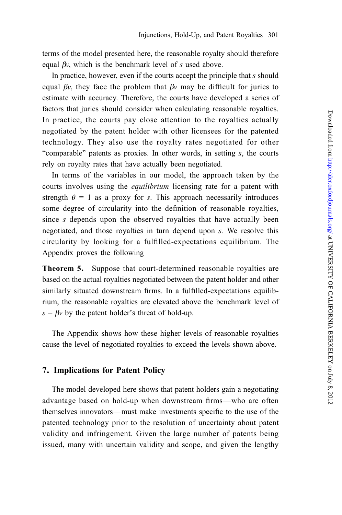terms of the model presented here, the reasonable royalty should therefore equal  $\beta v$ , which is the benchmark level of s used above.

In practice, however, even if the courts accept the principle that  $s$  should equal  $\beta v$ , they face the problem that  $\beta v$  may be difficult for juries to estimate with accuracy. Therefore, the courts have developed a series of factors that juries should consider when calculating reasonable royalties. In practice, the courts pay close attention to the royalties actually negotiated by the patent holder with other licensees for the patented technology. They also use the royalty rates negotiated for other "comparable" patents as proxies. In other words, in setting s, the courts rely on royalty rates that have actually been negotiated.

In terms of the variables in our model, the approach taken by the courts involves using the equilibrium licensing rate for a patent with strength  $\theta = 1$  as a proxy for s. This approach necessarily introduces some degree of circularity into the definition of reasonable royalties, since s depends upon the observed royalties that have actually been negotiated, and those royalties in turn depend upon s. We resolve this circularity by looking for a fulfilled-expectations equilibrium. The Appendix proves the following

Theorem 5. Suppose that court-determined reasonable royalties are based on the actual royalties negotiated between the patent holder and other similarly situated downstream firms. In a fulfilled-expectations equilibrium, the reasonable royalties are elevated above the benchmark level of  $s = \beta v$  by the patent holder's threat of hold-up.

The Appendix shows how these higher levels of reasonable royalties cause the level of negotiated royalties to exceed the levels shown above.

## 7. Implications for Patent Policy

The model developed here shows that patent holders gain a negotiating advantage based on hold-up when downstream firms—who are often themselves innovators—must make investments specific to the use of the patented technology prior to the resolution of uncertainty about patent validity and infringement. Given the large number of patents being issued, many with uncertain validity and scope, and given the lengthy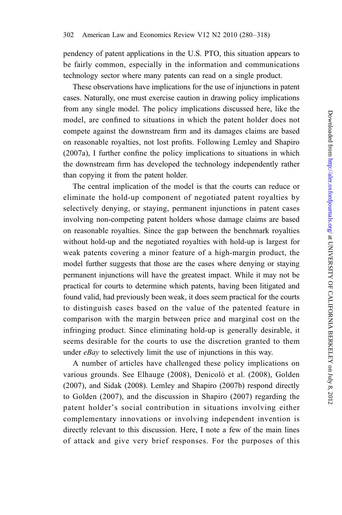pendency of patent applications in the U.S. PTO, this situation appears to be fairly common, especially in the information and communications technology sector where many patents can read on a single product.

These observations have implications for the use of injunctions in patent cases. Naturally, one must exercise caution in drawing policy implications from any single model. The policy implications discussed here, like the model, are confined to situations in which the patent holder does not compete against the downstream firm and its damages claims are based on reasonable royalties, not lost profits. Following Lemley and Shapiro (2007a), I further confine the policy implications to situations in which the downstream firm has developed the technology independently rather than copying it from the patent holder.

The central implication of the model is that the courts can reduce or eliminate the hold-up component of negotiated patent royalties by selectively denying, or staying, permanent injunctions in patent cases involving non-competing patent holders whose damage claims are based on reasonable royalties. Since the gap between the benchmark royalties without hold-up and the negotiated royalties with hold-up is largest for weak patents covering a minor feature of a high-margin product, the model further suggests that those are the cases where denying or staying permanent injunctions will have the greatest impact. While it may not be practical for courts to determine which patents, having been litigated and found valid, had previously been weak, it does seem practical for the courts to distinguish cases based on the value of the patented feature in comparison with the margin between price and marginal cost on the infringing product. Since eliminating hold-up is generally desirable, it seems desirable for the courts to use the discretion granted to them under *eBay* to selectively limit the use of injunctions in this way.

A number of articles have challenged these policy implications on various grounds. See Elhauge (2008), Denicolò et al. (2008), Golden (2007), and Sidak (2008). Lemley and Shapiro (2007b) respond directly to Golden (2007), and the discussion in Shapiro (2007) regarding the patent holder's social contribution in situations involving either complementary innovations or involving independent invention is directly relevant to this discussion. Here, I note a few of the main lines of attack and give very brief responses. For the purposes of this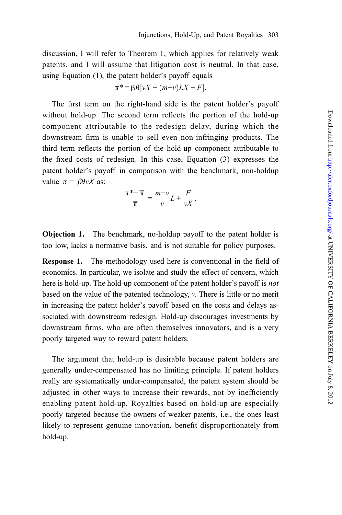discussion, I will refer to Theorem 1, which applies for relatively weak patents, and I will assume that litigation cost is neutral. In that case, using Equation (1), the patent holder's payoff equals

$$
\pi^* = \beta \theta \left[ \nu X + (m - \nu) L X + F \right].
$$

The first term on the right-hand side is the patent holder's payoff without hold-up. The second term reflects the portion of the hold-up component attributable to the redesign delay, during which the downstream firm is unable to sell even non-infringing products. The third term reflects the portion of the hold-up component attributable to the fixed costs of redesign. In this case, Equation (3) expresses the patent holder's payoff in comparison with the benchmark, non-holdup value  $\pi = \beta \theta v X$  as:

$$
\frac{\pi^* - \overline{\pi}}{\overline{\pi}} = \frac{m - \nu}{\nu} L + \frac{F}{\nu X}.
$$

**Objection 1.** The benchmark, no-holdup payoff to the patent holder is too low, lacks a normative basis, and is not suitable for policy purposes.

Response 1. The methodology used here is conventional in the field of economics. In particular, we isolate and study the effect of concern, which here is hold-up. The hold-up component of the patent holder's payoff is not based on the value of the patented technology, v. There is little or no merit in increasing the patent holder's payoff based on the costs and delays associated with downstream redesign. Hold-up discourages investments by downstream firms, who are often themselves innovators, and is a very poorly targeted way to reward patent holders.

The argument that hold-up is desirable because patent holders are generally under-compensated has no limiting principle. If patent holders really are systematically under-compensated, the patent system should be adjusted in other ways to increase their rewards, not by inefficiently enabling patent hold-up. Royalties based on hold-up are especially poorly targeted because the owners of weaker patents, i.e., the ones least likely to represent genuine innovation, benefit disproportionately from hold-up.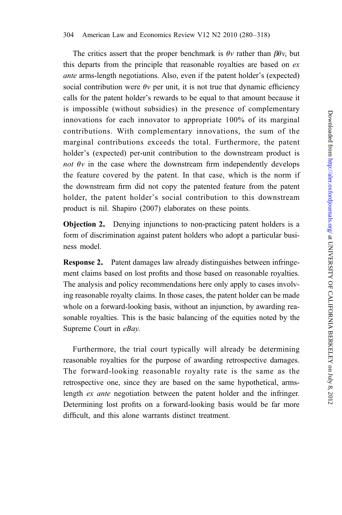The critics assert that the proper benchmark is  $\theta v$  rather than  $\beta \theta v$ , but this departs from the principle that reasonable royalties are based on ex ante arms-length negotiations. Also, even if the patent holder's (expected) social contribution were  $\theta v$  per unit, it is not true that dynamic efficiency calls for the patent holder's rewards to be equal to that amount because it is impossible (without subsidies) in the presence of complementary innovations for each innovator to appropriate 100% of its marginal contributions. With complementary innovations, the sum of the marginal contributions exceeds the total. Furthermore, the patent holder's (expected) per-unit contribution to the downstream product is *not*  $\theta$ *v* in the case where the downstream firm independently develops the feature covered by the patent. In that case, which is the norm if the downstream firm did not copy the patented feature from the patent holder, the patent holder's social contribution to this downstream product is nil. Shapiro (2007) elaborates on these points.

Objection 2. Denying injunctions to non-practicing patent holders is a form of discrimination against patent holders who adopt a particular business model.

Response 2. Patent damages law already distinguishes between infringement claims based on lost profits and those based on reasonable royalties. The analysis and policy recommendations here only apply to cases involving reasonable royalty claims. In those cases, the patent holder can be made whole on a forward-looking basis, without an injunction, by awarding reasonable royalties. This is the basic balancing of the equities noted by the Supreme Court in eBay.

Furthermore, the trial court typically will already be determining reasonable royalties for the purpose of awarding retrospective damages. The forward-looking reasonable royalty rate is the same as the retrospective one, since they are based on the same hypothetical, armslength ex ante negotiation between the patent holder and the infringer. Determining lost profits on a forward-looking basis would be far more difficult, and this alone warrants distinct treatment.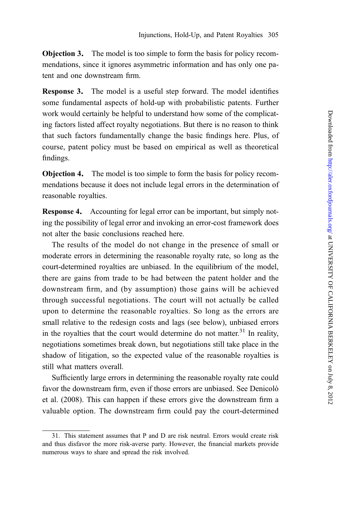**Objection 3.** The model is too simple to form the basis for policy recommendations, since it ignores asymmetric information and has only one patent and one downstream firm.

Response 3. The model is a useful step forward. The model identifies some fundamental aspects of hold-up with probabilistic patents. Further work would certainly be helpful to understand how some of the complicating factors listed affect royalty negotiations. But there is no reason to think that such factors fundamentally change the basic findings here. Plus, of course, patent policy must be based on empirical as well as theoretical findings.

Objection 4. The model is too simple to form the basis for policy recommendations because it does not include legal errors in the determination of reasonable royalties.

Response 4. Accounting for legal error can be important, but simply noting the possibility of legal error and invoking an error-cost framework does not alter the basic conclusions reached here.

The results of the model do not change in the presence of small or moderate errors in determining the reasonable royalty rate, so long as the court-determined royalties are unbiased. In the equilibrium of the model, there are gains from trade to be had between the patent holder and the downstream firm, and (by assumption) those gains will be achieved through successful negotiations. The court will not actually be called upon to determine the reasonable royalties. So long as the errors are small relative to the redesign costs and lags (see below), unbiased errors in the royalties that the court would determine do not matter. $31$  In reality, negotiations sometimes break down, but negotiations still take place in the shadow of litigation, so the expected value of the reasonable royalties is still what matters overall.

Sufficiently large errors in determining the reasonable royalty rate could favor the downstream firm, even if those errors are unbiased. See Denicolò et al. (2008). This can happen if these errors give the downstream firm a valuable option. The downstream firm could pay the court-determined

<sup>31.</sup> This statement assumes that P and D are risk neutral. Errors would create risk and thus disfavor the more risk-averse party. However, the financial markets provide numerous ways to share and spread the risk involved.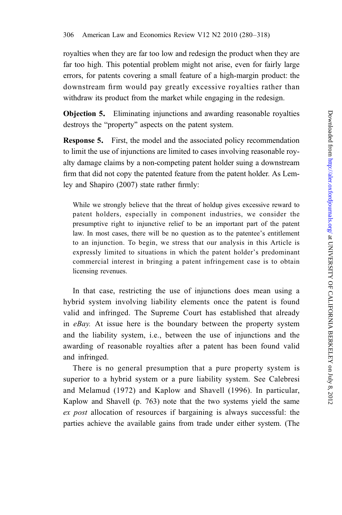royalties when they are far too low and redesign the product when they are far too high. This potential problem might not arise, even for fairly large errors, for patents covering a small feature of a high-margin product: the downstream firm would pay greatly excessive royalties rather than withdraw its product from the market while engaging in the redesign.

Objection 5. Eliminating injunctions and awarding reasonable royalties destroys the "property" aspects on the patent system.

Response 5. First, the model and the associated policy recommendation to limit the use of injunctions are limited to cases involving reasonable royalty damage claims by a non-competing patent holder suing a downstream firm that did not copy the patented feature from the patent holder. As Lemley and Shapiro (2007) state rather firmly:

While we strongly believe that the threat of holdup gives excessive reward to patent holders, especially in component industries, we consider the presumptive right to injunctive relief to be an important part of the patent law. In most cases, there will be no question as to the patentee's entitlement to an injunction. To begin, we stress that our analysis in this Article is expressly limited to situations in which the patent holder's predominant commercial interest in bringing a patent infringement case is to obtain licensing revenues.

In that case, restricting the use of injunctions does mean using a hybrid system involving liability elements once the patent is found valid and infringed. The Supreme Court has established that already in  $eBay$ . At issue here is the boundary between the property system and the liability system, i.e., between the use of injunctions and the awarding of reasonable royalties after a patent has been found valid and infringed.

There is no general presumption that a pure property system is superior to a hybrid system or a pure liability system. See Calebresi and Melamud (1972) and Kaplow and Shavell (1996). In particular, Kaplow and Shavell (p. 763) note that the two systems yield the same ex post allocation of resources if bargaining is always successful: the parties achieve the available gains from trade under either system. (The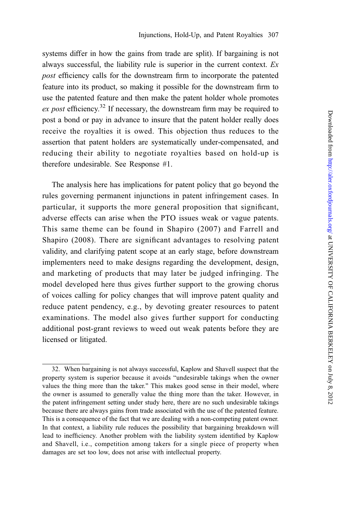systems differ in how the gains from trade are split). If bargaining is not always successful, the liability rule is superior in the current context. Ex post efficiency calls for the downstream firm to incorporate the patented feature into its product, so making it possible for the downstream firm to use the patented feature and then make the patent holder whole promotes ex post efficiency.<sup>32</sup> If necessary, the downstream firm may be required to post a bond or pay in advance to insure that the patent holder really does receive the royalties it is owed. This objection thus reduces to the assertion that patent holders are systematically under-compensated, and reducing their ability to negotiate royalties based on hold-up is therefore undesirable. See Response #1.

The analysis here has implications for patent policy that go beyond the rules governing permanent injunctions in patent infringement cases. In particular, it supports the more general proposition that significant, adverse effects can arise when the PTO issues weak or vague patents. This same theme can be found in Shapiro (2007) and Farrell and Shapiro (2008). There are significant advantages to resolving patent validity, and clarifying patent scope at an early stage, before downstream implementers need to make designs regarding the development, design, and marketing of products that may later be judged infringing. The model developed here thus gives further support to the growing chorus of voices calling for policy changes that will improve patent quality and reduce patent pendency, e.g., by devoting greater resources to patent examinations. The model also gives further support for conducting additional post-grant reviews to weed out weak patents before they are licensed or litigated.

<sup>32.</sup> When bargaining is not always successful, Kaplow and Shavell suspect that the property system is superior because it avoids "undesirable takings when the owner values the thing more than the taker." This makes good sense in their model, where the owner is assumed to generally value the thing more than the taker. However, in the patent infringement setting under study here, there are no such undesirable takings because there are always gains from trade associated with the use of the patented feature. This is a consequence of the fact that we are dealing with a non-competing patent owner. In that context, a liability rule reduces the possibility that bargaining breakdown will lead to inefficiency. Another problem with the liability system identified by Kaplow and Shavell, i.e., competition among takers for a single piece of property when damages are set too low, does not arise with intellectual property.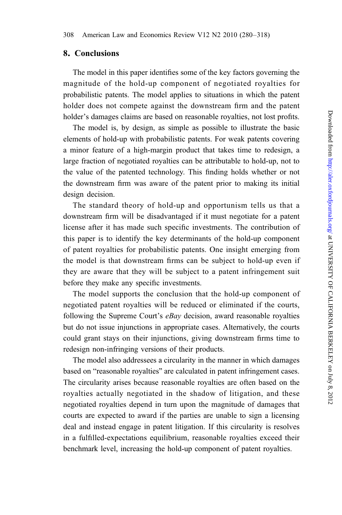#### 8. Conclusions

The model in this paper identifies some of the key factors governing the magnitude of the hold-up component of negotiated royalties for probabilistic patents. The model applies to situations in which the patent holder does not compete against the downstream firm and the patent holder's damages claims are based on reasonable royalties, not lost profits.

The model is, by design, as simple as possible to illustrate the basic elements of hold-up with probabilistic patents. For weak patents covering a minor feature of a high-margin product that takes time to redesign, a large fraction of negotiated royalties can be attributable to hold-up, not to the value of the patented technology. This finding holds whether or not the downstream firm was aware of the patent prior to making its initial design decision.

The standard theory of hold-up and opportunism tells us that a downstream firm will be disadvantaged if it must negotiate for a patent license after it has made such specific investments. The contribution of this paper is to identify the key determinants of the hold-up component of patent royalties for probabilistic patents. One insight emerging from the model is that downstream firms can be subject to hold-up even if they are aware that they will be subject to a patent infringement suit before they make any specific investments.

The model supports the conclusion that the hold-up component of negotiated patent royalties will be reduced or eliminated if the courts, following the Supreme Court's  $e$ Bay decision, award reasonable royalties but do not issue injunctions in appropriate cases. Alternatively, the courts could grant stays on their injunctions, giving downstream firms time to redesign non-infringing versions of their products.

The model also addressees a circularity in the manner in which damages based on "reasonable royalties" are calculated in patent infringement cases. The circularity arises because reasonable royalties are often based on the royalties actually negotiated in the shadow of litigation, and these negotiated royalties depend in turn upon the magnitude of damages that courts are expected to award if the parties are unable to sign a licensing deal and instead engage in patent litigation. If this circularity is resolves in a fulfilled-expectations equilibrium, reasonable royalties exceed their benchmark level, increasing the hold-up component of patent royalties.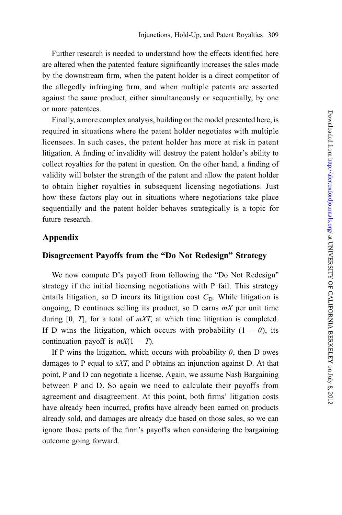Further research is needed to understand how the effects identified here are altered when the patented feature significantly increases the sales made by the downstream firm, when the patent holder is a direct competitor of the allegedly infringing firm, and when multiple patents are asserted against the same product, either simultaneously or sequentially, by one or more patentees.

Finally, a more complex analysis, building on the model presented here, is required in situations where the patent holder negotiates with multiple licensees. In such cases, the patent holder has more at risk in patent litigation. A finding of invalidity will destroy the patent holder's ability to collect royalties for the patent in question. On the other hand, a finding of validity will bolster the strength of the patent and allow the patent holder to obtain higher royalties in subsequent licensing negotiations. Just how these factors play out in situations where negotiations take place sequentially and the patent holder behaves strategically is a topic for future research.

## Appendix

#### Disagreement Payoffs from the "Do Not Redesign" Strategy

We now compute D's payoff from following the "Do Not Redesign" strategy if the initial licensing negotiations with P fail. This strategy entails litigation, so D incurs its litigation cost  $C<sub>D</sub>$ . While litigation is ongoing, D continues selling its product, so D earns  $mX$  per unit time during  $[0, T]$ , for a total of  $mXT$ , at which time litigation is completed. If D wins the litigation, which occurs with probability  $(1 - \theta)$ , its continuation payoff is  $mX(1 - T)$ .

If P wins the litigation, which occurs with probability  $\theta$ , then D owes damages to P equal to sXT, and P obtains an injunction against D. At that point, P and D can negotiate a license. Again, we assume Nash Bargaining between P and D. So again we need to calculate their payoffs from agreement and disagreement. At this point, both firms' litigation costs have already been incurred, profits have already been earned on products already sold, and damages are already due based on those sales, so we can ignore those parts of the firm's payoffs when considering the bargaining outcome going forward.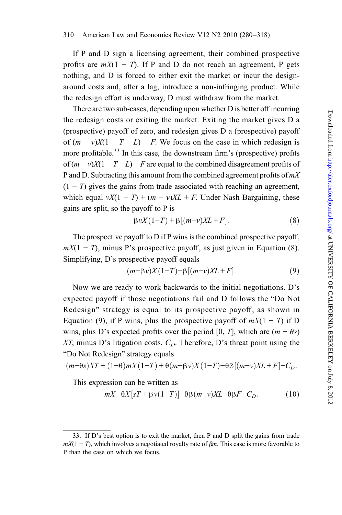If P and D sign a licensing agreement, their combined prospective profits are  $mX(1 - T)$ . If P and D do not reach an agreement, P gets nothing, and D is forced to either exit the market or incur the designaround costs and, after a lag, introduce a non-infringing product. While the redesign effort is underway, D must withdraw from the market.

There are two sub-cases, depending upon whether D is better off incurring the redesign costs or exiting the market. Exiting the market gives D a (prospective) payoff of zero, and redesign gives D a (prospective) payoff of  $(m - v)X(1 - T - L) - F$ . We focus on the case in which redesign is more profitable.<sup>33</sup> In this case, the downstream firm's (prospective) profits of  $(m - v)X(1 - T - L) - F$  are equal to the combined disagreement profits of P and D. Subtracting this amount from the combined agreement profits of  $mX$  $(1 - T)$  gives the gains from trade associated with reaching an agreement, which equal  $vX(1 - T) + (m - v)XL + F$ . Under Nash Bargaining, these gains are split, so the payoff to P is

$$
\beta vX(1-T) + \beta [(m-v)XL + F]. \tag{8}
$$

The prospective payoff to D if P wins is the combined prospective payoff,  $mX(1 - T)$ , minus P's prospective payoff, as just given in Equation (8). Simplifying, D's prospective payoff equals

$$
(m-\beta\nu)X(1-T)-\beta[(m-\nu)XL+F].\tag{9}
$$

Now we are ready to work backwards to the initial negotiations. D's expected payoff if those negotiations fail and D follows the "Do Not Redesign" strategy is equal to its prospective payoff, as shown in Equation (9), if P wins, plus the prospective payoff of  $mX(1 - T)$  if D wins, plus D's expected profits over the period [0, T], which are  $(m - \theta s)$ XT, minus D's litigation costs,  $C<sub>D</sub>$ . Therefore, D's threat point using the "Do Not Redesign" strategy equals

$$
(m- \theta s)XT + (1-\theta)mX(1-T) + \theta(m-\beta v)X(1-T) - \theta \beta[(m-v)XL + F] - C_D.
$$

This expression can be written as

$$
mX-\theta X[sT+\beta v(1-T)]-\theta\beta(m-v)XL-\theta\beta F-C_D.
$$
 (10)

<sup>33.</sup> If D's best option is to exit the market, then P and D split the gains from trade  $mX(1 - T)$ , which involves a negotiated royalty rate of  $\beta m$ . This case is more favorable to P than the case on which we focus.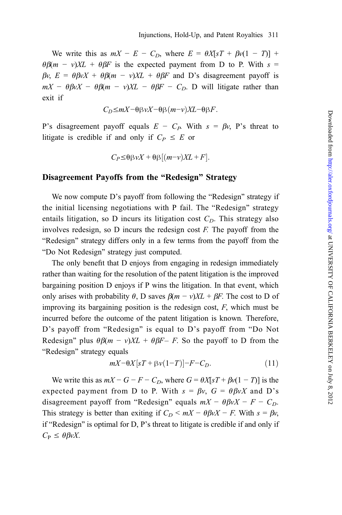We write this as  $mX - E - C_D$ , where  $E = \theta X[sT + \beta v(1 - T)] +$  $\theta \beta(m - v)XL + \theta \beta F$  is the expected payment from D to P. With  $s =$ βv,  $E = θβvX + θβ(m - v)XL + θβF$  and D's disagreement payoff is  $mX - \theta \beta vX - \theta \beta (m - v)XL - \theta \beta F - C_D$ . D will litigate rather than exit if

$$
C_D \leq mX - \theta \beta \nu X - \theta \beta (m-\nu)XL - \theta \beta F.
$$

P's disagreement payoff equals  $E - C_P$ . With  $s = \beta v$ , P's threat to litigate is credible if and only if  $C_P \leq E$  or

$$
C_P \leq \theta \beta \nu X + \theta \beta [(m-\nu)X L + F].
$$

## Disagreement Payoffs from the "Redesign" Strategy

We now compute D's payoff from following the "Redesign" strategy if the initial licensing negotiations with P fail. The "Redesign" strategy entails litigation, so D incurs its litigation cost  $C_D$ . This strategy also involves redesign, so  $D$  incurs the redesign cost  $F$ . The payoff from the "Redesign" strategy differs only in a few terms from the payoff from the "Do Not Redesign" strategy just computed.

The only benefit that D enjoys from engaging in redesign immediately rather than waiting for the resolution of the patent litigation is the improved bargaining position D enjoys if P wins the litigation. In that event, which only arises with probability  $\theta$ , D saves  $\beta(m - v)XL + \beta F$ . The cost to D of improving its bargaining position is the redesign cost,  $F$ , which must be incurred before the outcome of the patent litigation is known. Therefore, D's payoff from "Redesign" is equal to D's payoff from "Do Not Redesign" plus  $\theta \beta(m - v)XL + \theta \beta F - F$ . So the payoff to D from the "Redesign" strategy equals

$$
mX-\theta X[sT+\beta v(1-T)]-F-C_D.
$$
\n(11)

We write this as  $mX - G - F - C_D$ , where  $G = \theta X[sT + \beta v(1 - T)]$  is the expected payment from D to P. With  $s = \beta v$ ,  $G = \theta \beta v X$  and D's disagreement payoff from "Redesign" equals  $mX - \theta \beta vX - F - C_D$ . This strategy is better than exiting if  $C_D < mX - \theta \beta vX - F$ . With  $s = \beta v$ , if "Redesign" is optimal for D, P's threat to litigate is credible if and only if  $C_{\rm P} \leq \theta \beta v X$ .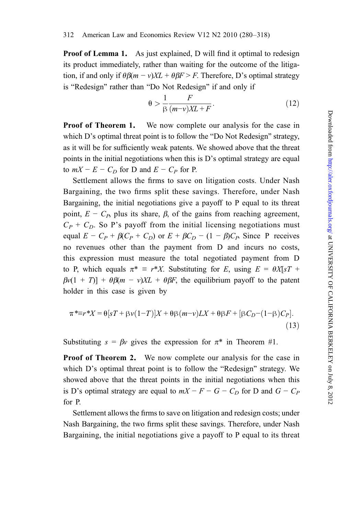**Proof of Lemma 1.** As just explained, D will find it optimal to redesign its product immediately, rather than waiting for the outcome of the litigation, if and only if  $\theta \beta(m - v)XL + \theta \beta F > F$ . Therefore, D's optimal strategy is "Redesign" rather than "Do Not Redesign" if and only if

$$
\theta > \frac{1}{\beta} \frac{F}{(m-v)XL + F}.
$$
\n(12)

Proof of Theorem 1. We now complete our analysis for the case in which D's optimal threat point is to follow the "Do Not Redesign" strategy, as it will be for sufficiently weak patents. We showed above that the threat points in the initial negotiations when this is D's optimal strategy are equal to  $mX - E - C_D$  for D and  $E - C_P$  for P.

Settlement allows the firms to save on litigation costs. Under Nash Bargaining, the two firms split these savings. Therefore, under Nash Bargaining, the initial negotiations give a payoff to P equal to its threat point,  $E - C$ <sub>β</sub>, plus its share, β, of the gains from reaching agreement,  $C_P + C_D$ . So P's payoff from the initial licensing negotiations must equal  $E - C_P + \beta(C_P + C_D)$  or  $E + \beta C_D - (1 - \beta)C_P$ . Since P receives no revenues other than the payment from D and incurs no costs, this expression must measure the total negotiated payment from D to P, which equals  $\pi^* \equiv r^*X$ . Substituting for E, using  $E = \theta X \cdot I \cdot I$  $\beta v(1 + T)$ ] +  $\theta \beta (m - v)XL + \theta \beta F$ , the equilibrium payoff to the patent holder in this case is given by

$$
\pi^* \equiv r^* X = \theta [sT + \beta v (1 - T)]X + \theta \beta (m - v)LX + \theta \beta F + [\beta C_D - (1 - \beta)C_P].
$$
\n(13)

Substituting  $s = \beta v$  gives the expression for  $\pi^*$  in Theorem #1.

Proof of Theorem 2. We now complete our analysis for the case in which D's optimal threat point is to follow the "Redesign" strategy. We showed above that the threat points in the initial negotiations when this is D's optimal strategy are equal to  $mX - F - G - C_D$  for D and  $G - C_P$ for P.

Settlement allows the firms to save on litigation and redesign costs; under Nash Bargaining, the two firms split these savings. Therefore, under Nash Bargaining, the initial negotiations give a payoff to P equal to its threat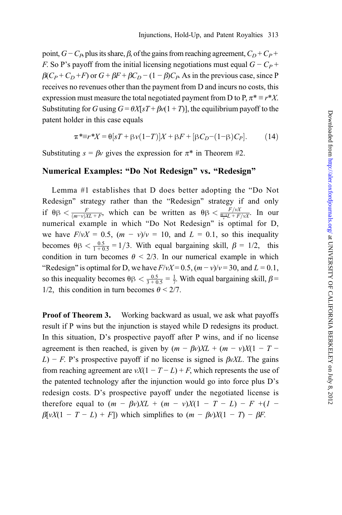point,  $G - C_p$ , plus its share,  $\beta$ , of the gains from reaching agreement,  $C_p + C_p + C_p$ F. So P's payoff from the initial licensing negotiations must equal  $G - C_P$  +  $\beta(C_P + C_D + F)$  or  $G + \beta F + \beta C_D - (1 - \beta)C_P$ . As in the previous case, since P receives no revenues other than the payment from D and incurs no costs, this expression must measure the total negotiated payment from D to P,  $\pi^* \equiv r^*X$ . Substituting for G using  $G = \theta X[sT + \beta v(1 + T)]$ , the equilibrium payoff to the patent holder in this case equals

$$
\pi^* \equiv r^* X = \theta \left[ sT + \beta v (1 - T) \right] X + \beta F + \left[ \beta C_D - (1 - \beta) C_P \right]. \tag{14}
$$

Substituting  $s = \beta v$  gives the expression for  $\pi^*$  in Theorem #2.

#### Numerical Examples: "Do Not Redesign" vs. "Redesign"

Lemma #1 establishes that D does better adopting the "Do Not Redesign" strategy rather than the "Redesign" strategy if and only if  $\theta\beta < \frac{F}{(m-v)XL+F}$ , which can be written as  $\theta\beta < \frac{F/vX}{m-vL+F/vX}$ . In our numerical example in which "Do Not Redesign" is optimal for D, we have  $F/vX = 0.5$ ,  $(m - v)/v = 10$ , and  $L = 0.1$ , so this inequality becomes  $\theta \beta < \frac{0.5}{1+0.5} = 1/3$ . With equal bargaining skill,  $\beta = 1/2$ , this condition in turn becomes  $\theta$  < 2/3. In our numerical example in which "Redesign" is optimal for D, we have  $F/vX = 0.5$ ,  $(m - v)/v = 30$ , and  $L = 0.1$ , so this inequality becomes  $\theta \beta < \frac{0.5}{3 + 0.5} = \frac{1}{7}$ . With equal bargaining skill,  $\beta$ = 1/2, this condition in turn becomes  $\theta$  < 2/7.

Proof of Theorem 3. Working backward as usual, we ask what payoffs result if P wins but the injunction is stayed while D redesigns its product. In this situation, D's prospective payoff after P wins, and if no license agreement is then reached, is given by  $(m - \beta v)XL + (m - v)X(1 - T -$ L) − F. P's prospective payoff if no license is signed is  $\beta v \chi$ . The gains from reaching agreement are  $vX(1 - T - L) + F$ , which represents the use of the patented technology after the injunction would go into force plus D's redesign costs. D's prospective payoff under the negotiated license is therefore equal to  $(m - \beta v)XL + (m - v)X(1 - T - L) - F + (1 \beta[\nu X(1 - T - L) + F]$ ) which simplifies to  $(m - \beta \nu)X(1 - T) - \beta F$ .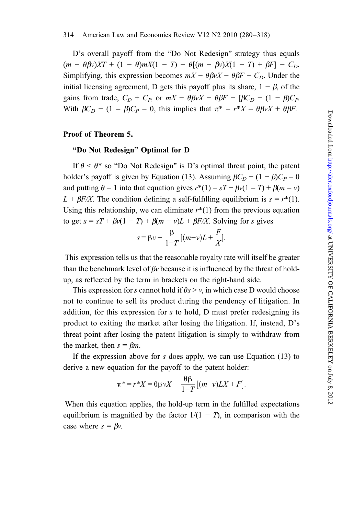D's overall payoff from the "Do Not Redesign" strategy thus equals  $(m - \theta \beta v)XT + (1 - \theta) mX(1 - T) - \theta [(m - \beta v)X(1 - T) + \beta F] - C_D.$ Simplifying, this expression becomes  $mX - \theta \beta vX - \theta \beta F - C_D$ . Under the initial licensing agreement, D gets this payoff plus its share,  $1 - \beta$ , of the gains from trade,  $C_D + C_B$  or  $mX - \theta \beta vX - \theta \beta F - [\beta C_D - (1 - \beta)C_P$ . With  $\beta C_D - (1 - \beta)C_P = 0$ , this implies that  $\pi^* = r^*X = \theta \beta vX + \theta \beta F$ .

#### Proof of Theorem 5.

#### "Do Not Redesign" Optimal for D

If  $\theta \leq \theta^*$  so "Do Not Redesign" is D's optimal threat point, the patent holder's payoff is given by Equation (13). Assuming  $\beta C_D - (1 - \beta)C_P = 0$ and putting  $\theta = 1$  into that equation gives  $r^*(1) = sT + \beta v(1 - T) + \beta (m - v)$  $L + \beta F/X$ . The condition defining a self-fulfilling equilibrium is  $s = r^*(1)$ . Using this relationship, we can eliminate  $r^*(1)$  from the previous equation to get  $s = sT + \beta v(1 - T) + \beta (m - v)L + \beta F/X$ . Solving for s gives

$$
s = \beta v + \frac{\beta}{1 - T} \left[ (m - v)L + \frac{F}{X} \right].
$$

This expression tells us that the reasonable royalty rate will itself be greater than the benchmark level of  $\beta v$  because it is influenced by the threat of holdup, as reflected by the term in brackets on the right-hand side.

This expression for s cannot hold if  $\theta s > v$ , in which case D would choose not to continue to sell its product during the pendency of litigation. In addition, for this expression for s to hold, D must prefer redesigning its product to exiting the market after losing the litigation. If, instead, D's threat point after losing the patent litigation is simply to withdraw from the market, then  $s = \beta m$ .

If the expression above for s does apply, we can use Equation  $(13)$  to derive a new equation for the payoff to the patent holder:

$$
\pi^* = r^*X = \theta \beta \nu X + \frac{\theta \beta}{1 - T} [(m - \nu)LX + F].
$$

When this equation applies, the hold-up term in the fulfilled expectations equilibrium is magnified by the factor  $1/(1 - T)$ , in comparison with the case where  $s = \beta v$ .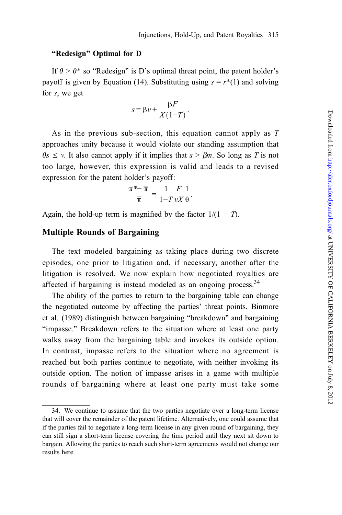#### "Redesign" Optimal for D

If  $\theta > \theta^*$  so "Redesign" is D's optimal threat point, the patent holder's payoff is given by Equation (14). Substituting using  $s = r^*(1)$  and solving for s, we get

$$
s = \beta v + \frac{\beta F}{X(1-T)}.
$$

As in the previous sub-section, this equation cannot apply as  $T$ approaches unity because it would violate our standing assumption that  $\theta s \leq v$ . It also cannot apply if it implies that  $s > \beta m$ . So long as T is not too large, however, this expression is valid and leads to a revised expression for the patent holder's payoff:

$$
\frac{\pi^* - \overline{\pi}}{\overline{\pi}} = \frac{1}{1 - T} \frac{F}{vX} \frac{1}{\theta}.
$$

Again, the hold-up term is magnified by the factor  $1/(1 - T)$ .

## Multiple Rounds of Bargaining

The text modeled bargaining as taking place during two discrete episodes, one prior to litigation and, if necessary, another after the litigation is resolved. We now explain how negotiated royalties are affected if bargaining is instead modeled as an ongoing process.<sup>34</sup>

The ability of the parties to return to the bargaining table can change the negotiated outcome by affecting the parties' threat points. Binmore et al. (1989) distinguish between bargaining "breakdown" and bargaining "impasse." Breakdown refers to the situation where at least one party walks away from the bargaining table and invokes its outside option. In contrast, impasse refers to the situation where no agreement is reached but both parties continue to negotiate, with neither invoking its outside option. The notion of impasse arises in a game with multiple rounds of bargaining where at least one party must take some

<sup>34.</sup> We continue to assume that the two parties negotiate over a long-term license that will cover the remainder of the patent lifetime. Alternatively, one could assume that if the parties fail to negotiate a long-term license in any given round of bargaining, they can still sign a short-term license covering the time period until they next sit down to bargain. Allowing the parties to reach such short-term agreements would not change our results here.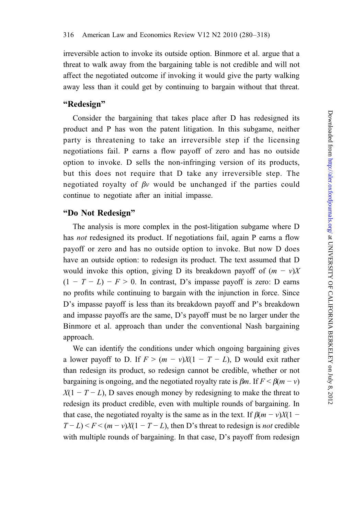irreversible action to invoke its outside option. Binmore et al. argue that a threat to walk away from the bargaining table is not credible and will not affect the negotiated outcome if invoking it would give the party walking away less than it could get by continuing to bargain without that threat.

## "Redesign"

Consider the bargaining that takes place after D has redesigned its product and P has won the patent litigation. In this subgame, neither party is threatening to take an irreversible step if the licensing negotiations fail. P earns a flow payoff of zero and has no outside option to invoke. D sells the non-infringing version of its products, but this does not require that D take any irreversible step. The negotiated royalty of  $\beta v$  would be unchanged if the parties could continue to negotiate after an initial impasse.

## "Do Not Redesign"

The analysis is more complex in the post-litigation subgame where D has *not* redesigned its product. If negotiations fail, again P earns a flow payoff or zero and has no outside option to invoke. But now D does have an outside option: to redesign its product. The text assumed that D would invoke this option, giving D its breakdown payoff of  $(m - v)X$  $(1 - T - L) - F > 0$ . In contrast, D's impasse payoff is zero: D earns no profits while continuing to bargain with the injunction in force. Since D's impasse payoff is less than its breakdown payoff and P's breakdown and impasse payoffs are the same, D's payoff must be no larger under the Binmore et al. approach than under the conventional Nash bargaining approach.

We can identify the conditions under which ongoing bargaining gives a lower payoff to D. If  $F > (m - v)X(1 - T - L)$ , D would exit rather than redesign its product, so redesign cannot be credible, whether or not bargaining is ongoing, and the negotiated royalty rate is  $\beta m$ . If  $F < \beta (m - v)$  $X(1 - T - L)$ , D saves enough money by redesigning to make the threat to redesign its product credible, even with multiple rounds of bargaining. In that case, the negotiated royalty is the same as in the text. If  $\beta(m - v)X(1 - v)$  $T-L$ ) <  $F$  <  $(m - v)X(1 - T - L)$ , then D's threat to redesign is *not* credible with multiple rounds of bargaining. In that case, D's payoff from redesign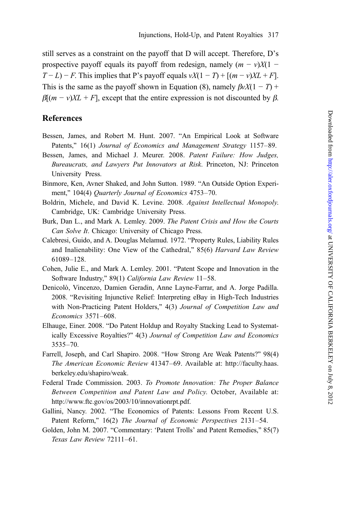still serves as a constraint on the payoff that D will accept. Therefore, D's prospective payoff equals its payoff from redesign, namely  $(m - v)X(1 T - L$ ) − F. This implies that P's payoff equals  $vX(1 - T) + [(m - v)XL + F]$ . This is the same as the payoff shown in Equation (8), namely  $\beta vX(1-T)$  +  $\beta$ [ $(m - v)XL + F$ ], except that the entire expression is not discounted by  $\beta$ .

## References

- Bessen, James, and Robert M. Hunt. 2007. "An Empirical Look at Software Patents," 16(1) Journal of Economics and Management Strategy 1157–89.
- Bessen, James, and Michael J. Meurer. 2008. Patent Failure: How Judges, Bureaucrats, and Lawyers Put Innovators at Risk. Princeton, NJ: Princeton University Press.
- Binmore, Ken, Avner Shaked, and John Sutton. 1989. "An Outside Option Experiment," 104(4) *Ouarterly Journal of Economics* 4753-70.
- Boldrin, Michele, and David K. Levine. 2008. Against Intellectual Monopoly. Cambridge, UK: Cambridge University Press.
- Burk, Dan L., and Mark A. Lemley. 2009. The Patent Crisis and How the Courts Can Solve It. Chicago: University of Chicago Press.
- Calebresi, Guido, and A. Douglas Melamud. 1972. "Property Rules, Liability Rules and Inalienability: One View of the Cathedral," 85(6) Harvard Law Review 61089–128.
- Cohen, Julie E., and Mark A. Lemley. 2001. "Patent Scope and Innovation in the Software Industry," 89(1) California Law Review 11–58.
- Denicolò, Vincenzo, Damien Geradin, Anne Layne-Farrar, and A. Jorge Padilla. 2008. "Revisiting Injunctive Relief: Interpreting eBay in High-Tech Industries with Non-Practicing Patent Holders," 4(3) Journal of Competition Law and Economics 3571–608.
- Elhauge, Einer. 2008. "Do Patent Holdup and Royalty Stacking Lead to Systematically Excessive Royalties?" 4(3) Journal of Competition Law and Economics 3535–70.
- Farrell, Joseph, and Carl Shapiro. 2008. "How Strong Are Weak Patents?" 98(4) The American Economic Review 41347–69. Available at: http://faculty.haas. berkeley.edu/shapiro/weak.
- Federal Trade Commission. 2003. To Promote Innovation: The Proper Balance Between Competition and Patent Law and Policy. October, Available at: http://www.ftc.gov/os/2003/10/innovationrpt.pdf.
- Gallini, Nancy. 2002. "The Economics of Patents: Lessons From Recent U.S. Patent Reform," 16(2) The Journal of Economic Perspectives 2131–54.
- Golden, John M. 2007. "Commentary: 'Patent Trolls' and Patent Remedies," 85(7) Texas Law Review 72111–61.